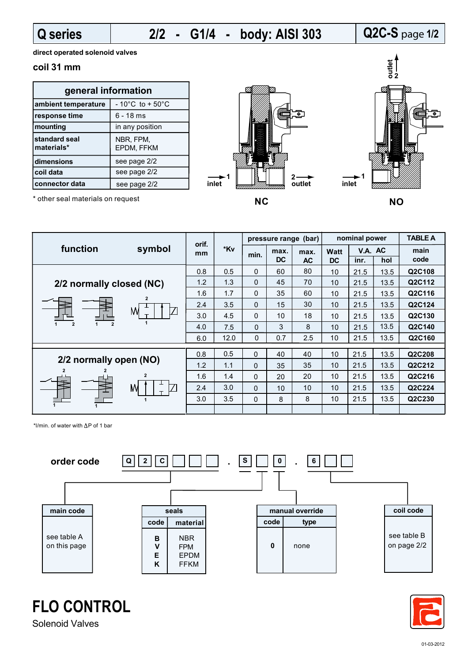## **Q series**

# **2/2 - G1/4 - body: AISI 303**

# **Q2C-S** page **1/2**

**direct operated solenoid valves**

### **coil 31 mm**

| general information         |                                      |  |  |  |  |  |
|-----------------------------|--------------------------------------|--|--|--|--|--|
| ambient temperature         | $-10^{\circ}$ C to + 50 $^{\circ}$ C |  |  |  |  |  |
| response time               | 6 - 18 ms                            |  |  |  |  |  |
| mounting                    | in any position                      |  |  |  |  |  |
| standard seal<br>materials* | NBR, FPM,<br>EPDM, FFKM              |  |  |  |  |  |
| ldimensions                 | see page 2/2                         |  |  |  |  |  |
| coil data                   | see page 2/2                         |  |  |  |  |  |
| connector data              | see page 2/2                         |  |  |  |  |  |





| function<br>symbol                                                      |     |             | pressure range (bar) |              |                   | nominal power |           |         | <b>TABLE A</b> |              |
|-------------------------------------------------------------------------|-----|-------------|----------------------|--------------|-------------------|---------------|-----------|---------|----------------|--------------|
|                                                                         |     | orif.<br>mm | *Kv                  | min.         | max.<br><b>DC</b> | max.          | Watt      | V.A. AC |                | main<br>code |
|                                                                         |     |             |                      |              |                   | <b>AC</b>     | <b>DC</b> | inr.    | hol            |              |
| 2/2 normally closed (NC)                                                |     | 0.8         | 0.5                  | $\Omega$     | 60                | 80            | 10        | 21.5    | 13.5           | Q2C108       |
|                                                                         |     | 1.2         | 1.3                  | $\Omega$     | 45                | 70            | 10        | 21.5    | 13.5           | Q2C112       |
| M<br>$\overline{2}$<br>$\overline{2}$                                   |     | 1.6         | 1.7                  | $\Omega$     | 35                | 60            | 10        | 21.5    | 13.5           | Q2C116       |
|                                                                         |     | 2.4         | 3.5                  | $\mathbf{0}$ | 15                | 30            | 10        | 21.5    | 13.5           | Q2C124       |
|                                                                         |     | 3.0         | 4.5                  | 0            | 10                | 18            | 10        | 21.5    | 13.5           | Q2C130       |
|                                                                         |     | 4.0         | 7.5                  | $\Omega$     | 3                 | 8             | 10        | 21.5    | 13.5           | Q2C140       |
|                                                                         |     | 6.0         | 12.0                 | $\Omega$     | 0.7               | 2.5           | 10        | 21.5    | 13.5           | Q2C160       |
|                                                                         |     |             |                      |              |                   |               |           |         |                |              |
|                                                                         |     | 0.8         | 0.5                  | $\Omega$     | 40                | 40            | 10        | 21.5    | 13.5           | Q2C208       |
| 2/2 normally open (NO)<br>$\overline{2}$<br>2<br>$\mathbf{2}$<br>M<br>1 | 1.2 | 1.1         | $\Omega$             | 35           | 35                | 10            | 21.5      | 13.5    | Q2C212         |              |
|                                                                         |     | 1.6         | 1.4                  | $\mathbf{0}$ | 20                | 20            | 10        | 21.5    | 13.5           | Q2C216       |
|                                                                         |     | 2.4         | 3.0                  | $\Omega$     | 10                | 10            | 10        | 21.5    | 13.5           | Q2C224       |
|                                                                         |     | 3.0         | 3.5                  | $\Omega$     | 8                 | 8             | 10        | 21.5    | 13.5           | Q2C230       |
|                                                                         |     |             |                      |              |                   |               |           |         |                |              |

\*l/min. of water with  $\Delta P$  of 1 bar





**FLO CONTROL**

Solenoid Valves